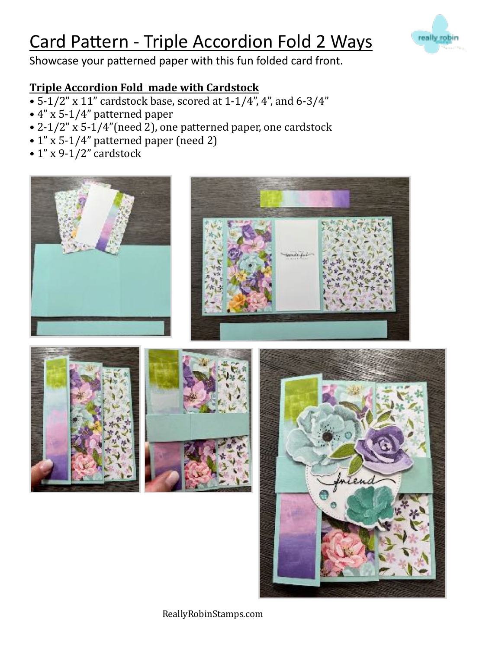## Card Pattern - Triple Accordion Fold 2 Ways

Showcase your patterned paper with this fun folded card front.

### **Triple Accordion Fold made with Cardstock**

- $5-1/2$ " x  $11$ " cardstock base, scored at  $1-1/4$ ", 4", and  $6-3/4$ "
- $\cdot$  4" x 5-1/4" patterned paper
- 2-1/2" x 5-1/4" (need 2), one patterned paper, one cardstock
- $1$ " x 5-1/4" patterned paper (need 2)
- $1$ " x 9-1/2" cardstock





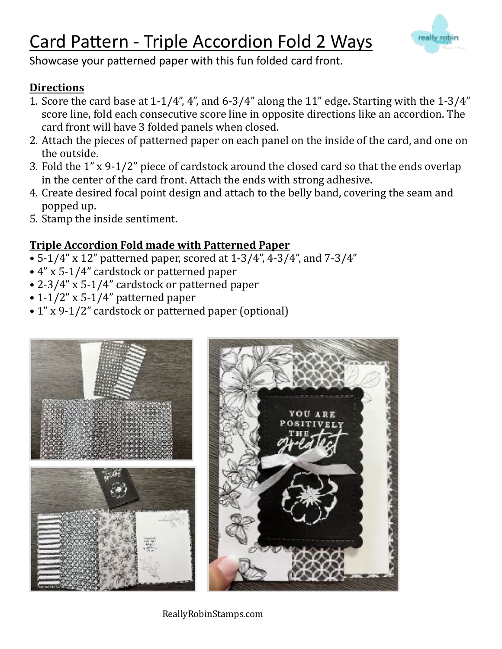# Card Pattern - Triple Accordion Fold 2 Ways



Showcase your patterned paper with this fun folded card front.

#### **Directions**

- 1. Score the card base at  $1-1/4$ ", 4", and  $6-3/4$ " along the  $11$ " edge. Starting with the  $1-3/4$ " score line, fold each consecutive score line in opposite directions like an accordion. The card front will have 3 folded panels when closed.
- 2. Attach the pieces of patterned paper on each panel on the inside of the card, and one on the outside.
- 3. Fold the  $1''$  x 9-1/2" piece of cardstock around the closed card so that the ends overlap in the center of the card front. Attach the ends with strong adhesive.
- 4. Create desired focal point design and attach to the belly band, covering the seam and popped up.
- 5. Stamp the inside sentiment.

#### **Triple Accordion Fold made with Patterned Paper**

- 5-1/4" x 12" patterned paper, scored at  $1-3/4$ ", 4-3/4", and  $7-3/4$ "
- 4" x 5-1/4" cardstock or patterned paper
- 2-3/4" x 5-1/4" cardstock or patterned paper
- $\cdot$  1-1/2" x 5-1/4" patterned paper
- 1" x 9-1/2" cardstock or patterned paper (optional)



ReallyRobinStamps.com